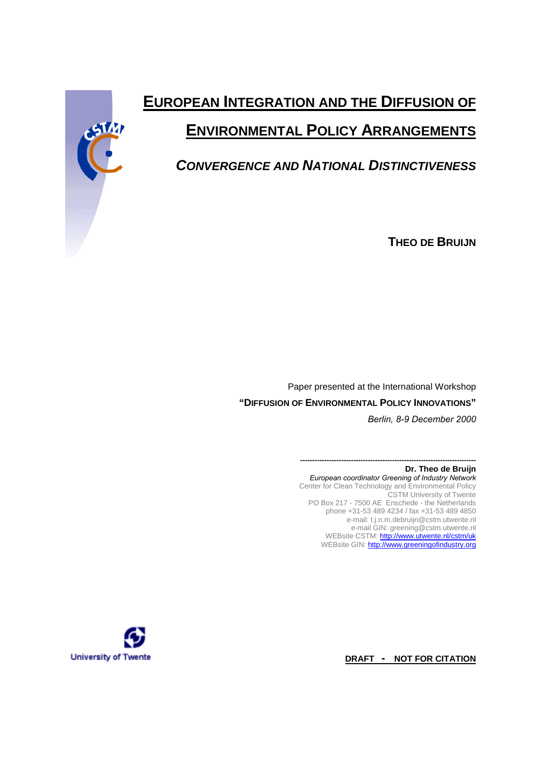# **EUROPEAN INTEGRATION AND THE DIFFUSION OF ENVIRONMENTAL POLICY ARRANGEMENTS**

# *CONVERGENCE AND NATIONAL DISTINCTIVENESS*

**THEO DE BRUIJN**

Paper presented at the International Workshop **"DIFFUSION OF ENVIRONMENTAL POLICY INNOVATIONS"** *Berlin, 8-9 December 2000*

> **------------------------------------------------------------------------- Dr. Theo de Bruijn** *European coordinator Greening of Industry Network* Center for Clean Technology and Environmental Policy CSTM University of Twente PO Box 217 - 7500 AE Enschede - the Netherlands phone +31-53 489 4234 / fax +31-53 489 4850 e-mail: t.j.n.m.debruijn@cstm.utwente.nl e-mail GIN: greening@cstm.utwente.nl WEBsite CSTM: http://www.utwente.nl/cstm/uk WEBsite GIN: http://www.greeningofindustry.org



**DRAFT - NOT FOR CITATION**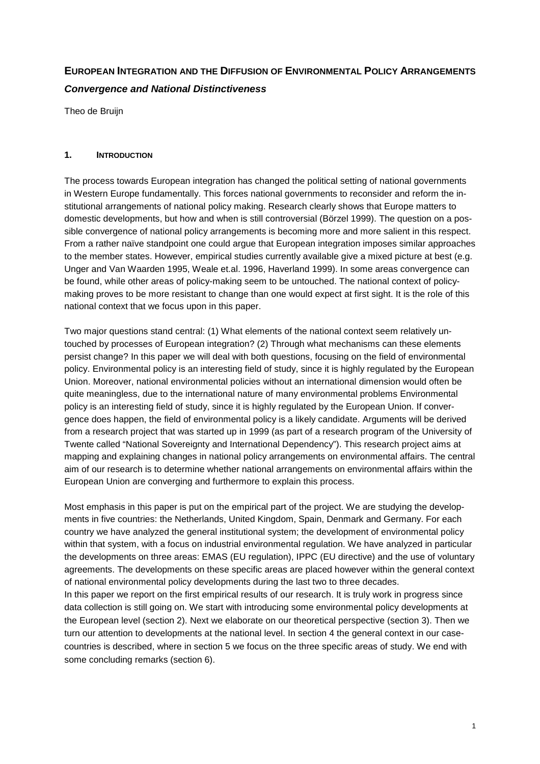# **EUROPEAN INTEGRATION AND THE DIFFUSION OF ENVIRONMENTAL POLICY ARRANGEMENTS** *Convergence and National Distinctiveness*

Theo de Bruijn

# **1. INTRODUCTION**

The process towards European integration has changed the political setting of national governments in Western Europe fundamentally. This forces national governments to reconsider and reform the institutional arrangements of national policy making. Research clearly shows that Europe matters to domestic developments, but how and when is still controversial (Börzel 1999). The question on a possible convergence of national policy arrangements is becoming more and more salient in this respect. From a rather naïve standpoint one could argue that European integration imposes similar approaches to the member states. However, empirical studies currently available give a mixed picture at best (e.g. Unger and Van Waarden 1995, Weale et.al. 1996, Haverland 1999). In some areas convergence can be found, while other areas of policy-making seem to be untouched. The national context of policymaking proves to be more resistant to change than one would expect at first sight. It is the role of this national context that we focus upon in this paper.

Two major questions stand central: (1) What elements of the national context seem relatively untouched by processes of European integration? (2) Through what mechanisms can these elements persist change? In this paper we will deal with both questions, focusing on the field of environmental policy. Environmental policy is an interesting field of study, since it is highly regulated by the European Union. Moreover, national environmental policies without an international dimension would often be quite meaningless, due to the international nature of many environmental problems Environmental policy is an interesting field of study, since it is highly regulated by the European Union. If convergence does happen, the field of environmental policy is a likely candidate. Arguments will be derived from a research project that was started up in 1999 (as part of a research program of the University of Twente called "National Sovereignty and International Dependency"). This research project aims at mapping and explaining changes in national policy arrangements on environmental affairs. The central aim of our research is to determine whether national arrangements on environmental affairs within the European Union are converging and furthermore to explain this process.

Most emphasis in this paper is put on the empirical part of the project. We are studying the developments in five countries: the Netherlands, United Kingdom, Spain, Denmark and Germany. For each country we have analyzed the general institutional system; the development of environmental policy within that system, with a focus on industrial environmental regulation. We have analyzed in particular the developments on three areas: EMAS (EU regulation), IPPC (EU directive) and the use of voluntary agreements. The developments on these specific areas are placed however within the general context of national environmental policy developments during the last two to three decades.

In this paper we report on the first empirical results of our research. It is truly work in progress since data collection is still going on. We start with introducing some environmental policy developments at the European level (section 2). Next we elaborate on our theoretical perspective (section 3). Then we turn our attention to developments at the national level. In section 4 the general context in our casecountries is described, where in section 5 we focus on the three specific areas of study. We end with some concluding remarks (section 6).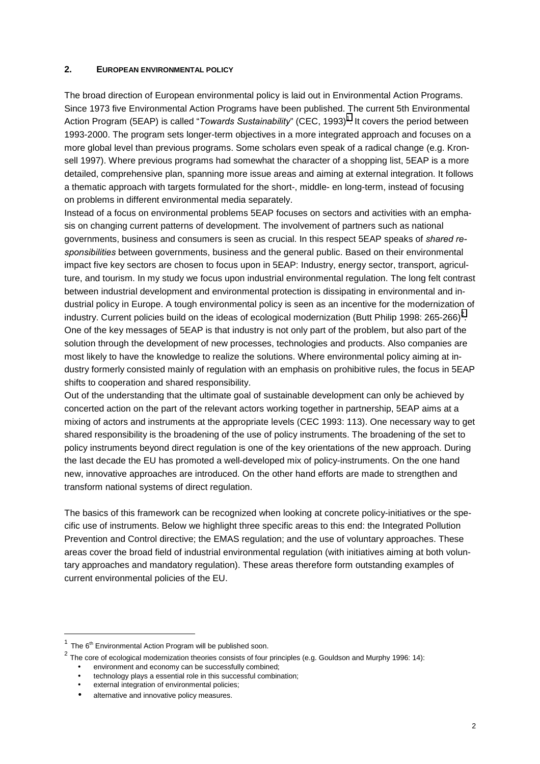#### **2. EUROPEAN ENVIRONMENTAL POLICY**

The broad direction of European environmental policy is laid out in Environmental Action Programs. Since 1973 five Environmental Action Programs have been published. The current 5th Environmental Action Program (5EAP) is called "*Towards Sustainability*" (CEC, 1993)<sup>1</sup>. It covers the period between 1993-2000. The program sets longer-term objectives in a more integrated approach and focuses on a more global level than previous programs. Some scholars even speak of a radical change (e.g. Kronsell 1997). Where previous programs had somewhat the character of a shopping list, 5EAP is a more detailed, comprehensive plan, spanning more issue areas and aiming at external integration. It follows a thematic approach with targets formulated for the short-, middle- en long-term, instead of focusing on problems in different environmental media separately.

Instead of a focus on environmental problems 5EAP focuses on sectors and activities with an emphasis on changing current patterns of development. The involvement of partners such as national governments, business and consumers is seen as crucial. In this respect 5EAP speaks of *shared responsibilities* between governments, business and the general public. Based on their environmental impact five key sectors are chosen to focus upon in 5EAP: Industry, energy sector, transport, agriculture, and tourism. In my study we focus upon industrial environmental regulation. The long felt contrast between industrial development and environmental protection is dissipating in environmental and industrial policy in Europe. A tough environmental policy is seen as an incentive for the modernization of industry. Current policies build on the ideas of ecological modernization (Butt Philip 1998: 265-266)<sup>2</sup>. One of the key messages of 5EAP is that industry is not only part of the problem, but also part of the solution through the development of new processes, technologies and products. Also companies are most likely to have the knowledge to realize the solutions. Where environmental policy aiming at industry formerly consisted mainly of regulation with an emphasis on prohibitive rules, the focus in 5EAP shifts to cooperation and shared responsibility.

Out of the understanding that the ultimate goal of sustainable development can only be achieved by concerted action on the part of the relevant actors working together in partnership, 5EAP aims at a mixing of actors and instruments at the appropriate levels (CEC 1993: 113). One necessary way to get shared responsibility is the broadening of the use of policy instruments. The broadening of the set to policy instruments beyond direct regulation is one of the key orientations of the new approach. During the last decade the EU has promoted a well-developed mix of policy-instruments. On the one hand new, innovative approaches are introduced. On the other hand efforts are made to strengthen and transform national systems of direct regulation.

The basics of this framework can be recognized when looking at concrete policy-initiatives or the specific use of instruments. Below we highlight three specific areas to this end: the Integrated Pollution Prevention and Control directive; the EMAS regulation; and the use of voluntary approaches. These areas cover the broad field of industrial environmental regulation (with initiatives aiming at both voluntary approaches and mandatory regulation). These areas therefore form outstanding examples of current environmental policies of the EU.

 $1$  The  $6<sup>th</sup>$  Environmental Action Program will be published soon.

 $2$  The core of ecological modernization theories consists of four principles (e.g. Gouldson and Murphy 1996: 14):

<sup>•</sup> environment and economy can be successfully combined;

<sup>•</sup> technology plays a essential role in this successful combination;

external integration of environmental policies:

alternative and innovative policy measures.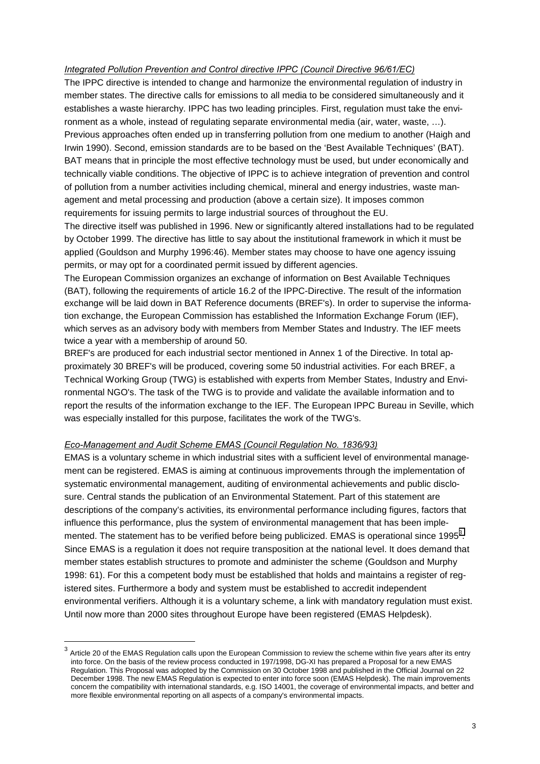# *Integrated Pollution Prevention and Control directive IPPC (Council Directive 96/61/EC)*

The IPPC directive is intended to change and harmonize the environmental regulation of industry in member states. The directive calls for emissions to all media to be considered simultaneously and it establishes a waste hierarchy. IPPC has two leading principles. First, regulation must take the environment as a whole, instead of regulating separate environmental media (air, water, waste, …). Previous approaches often ended up in transferring pollution from one medium to another (Haigh and Irwin 1990). Second, emission standards are to be based on the 'Best Available Techniques' (BAT). BAT means that in principle the most effective technology must be used, but under economically and technically viable conditions. The objective of IPPC is to achieve integration of prevention and control of pollution from a number activities including chemical, mineral and energy industries, waste management and metal processing and production (above a certain size). It imposes common requirements for issuing permits to large industrial sources of throughout the EU.

The directive itself was published in 1996. New or significantly altered installations had to be regulated by October 1999. The directive has little to say about the institutional framework in which it must be applied (Gouldson and Murphy 1996:46). Member states may choose to have one agency issuing permits, or may opt for a coordinated permit issued by different agencies.

The European Commission organizes an exchange of information on Best Available Techniques (BAT), following the requirements of article 16.2 of the IPPC-Directive. The result of the information exchange will be laid down in BAT Reference documents (BREF's). In order to supervise the information exchange, the European Commission has established the Information Exchange Forum (IEF), which serves as an advisory body with members from Member States and Industry. The IEF meets twice a year with a membership of around 50.

BREF's are produced for each industrial sector mentioned in Annex 1 of the Directive. In total approximately 30 BREF's will be produced, covering some 50 industrial activities. For each BREF, a Technical Working Group (TWG) is established with experts from Member States, Industry and Environmental NGO's. The task of the TWG is to provide and validate the available information and to report the results of the information exchange to the IEF. The European IPPC Bureau in Seville, which was especially installed for this purpose, facilitates the work of the TWG's.

#### *Eco-Management and Audit Scheme EMAS (Council Regulation No. 1836/93)*

l

EMAS is a voluntary scheme in which industrial sites with a sufficient level of environmental management can be registered. EMAS is aiming at continuous improvements through the implementation of systematic environmental management, auditing of environmental achievements and public disclosure. Central stands the publication of an Environmental Statement. Part of this statement are descriptions of the company's activities, its environmental performance including figures, factors that influence this performance, plus the system of environmental management that has been implemented. The statement has to be verified before being publicized. EMAS is operational since 1995 $^3$ . Since EMAS is a regulation it does not require transposition at the national level. It does demand that member states establish structures to promote and administer the scheme (Gouldson and Murphy 1998: 61). For this a competent body must be established that holds and maintains a register of registered sites. Furthermore a body and system must be established to accredit independent environmental verifiers. Although it is a voluntary scheme, a link with mandatory regulation must exist. Until now more than 2000 sites throughout Europe have been registered (EMAS Helpdesk).

Article 20 of the EMAS Regulation calls upon the European Commission to review the scheme within five years after its entry into force. On the basis of the review process conducted in 197/1998, DG-XI has prepared a Proposal for a new EMAS Regulation. This Proposal was adopted by the Commission on 30 October 1998 and published in the Official Journal on 22 December 1998. The new EMAS Regulation is expected to enter into force soon (EMAS Helpdesk). The main improvements concern the compatibility with international standards, e.g. ISO 14001, the coverage of environmental impacts, and better and more flexible environmental reporting on all aspects of a company's environmental impacts.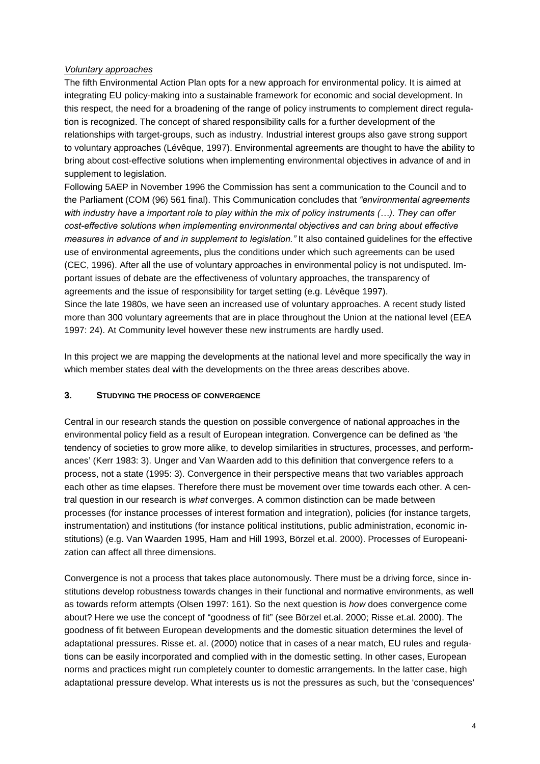# *Voluntary approaches*

The fifth Environmental Action Plan opts for a new approach for environmental policy. It is aimed at integrating EU policy-making into a sustainable framework for economic and social development. In this respect, the need for a broadening of the range of policy instruments to complement direct regulation is recognized. The concept of shared responsibility calls for a further development of the relationships with target-groups, such as industry. Industrial interest groups also gave strong support to voluntary approaches (Lévêque, 1997). Environmental agreements are thought to have the ability to bring about cost-effective solutions when implementing environmental objectives in advance of and in supplement to legislation.

Following 5AEP in November 1996 the Commission has sent a communication to the Council and to the Parliament (COM (96) 561 final). This Communication concludes that *ìenvironmental agreements* with industry have a important role to play within the mix of policy instruments (...). They can offer *cost-effective solutions when implementing environmental objectives and can bring about effective measures in advance of and in supplement to legislation.* It also contained guidelines for the effective use of environmental agreements, plus the conditions under which such agreements can be used (CEC, 1996). After all the use of voluntary approaches in environmental policy is not undisputed. Important issues of debate are the effectiveness of voluntary approaches, the transparency of agreements and the issue of responsibility for target setting (e.g. Lévêque 1997). Since the late 1980s, we have seen an increased use of voluntary approaches. A recent study listed more than 300 voluntary agreements that are in place throughout the Union at the national level (EEA 1997: 24). At Community level however these new instruments are hardly used.

In this project we are mapping the developments at the national level and more specifically the way in which member states deal with the developments on the three areas describes above.

### **3. STUDYING THE PROCESS OF CONVERGENCE**

Central in our research stands the question on possible convergence of national approaches in the environmental policy field as a result of European integration. Convergence can be defined as 'the tendency of societies to grow more alike, to develop similarities in structures, processes, and performances' (Kerr 1983: 3). Unger and Van Waarden add to this definition that convergence refers to a process, not a state (1995: 3). Convergence in their perspective means that two variables approach each other as time elapses. Therefore there must be movement over time towards each other. A central question in our research is *what* converges. A common distinction can be made between processes (for instance processes of interest formation and integration), policies (for instance targets, instrumentation) and institutions (for instance political institutions, public administration, economic institutions) (e.g. Van Waarden 1995, Ham and Hill 1993, Börzel et.al. 2000). Processes of Europeanization can affect all three dimensions.

Convergence is not a process that takes place autonomously. There must be a driving force, since institutions develop robustness towards changes in their functional and normative environments, as well as towards reform attempts (Olsen 1997: 161). So the next question is *how* does convergence come about? Here we use the concept of "goodness of fit" (see Börzel et.al. 2000; Risse et.al. 2000). The goodness of fit between European developments and the domestic situation determines the level of adaptational pressures. Risse et. al. (2000) notice that in cases of a near match, EU rules and regulations can be easily incorporated and complied with in the domestic setting. In other cases, European norms and practices might run completely counter to domestic arrangements. In the latter case, high adaptational pressure develop. What interests us is not the pressures as such, but the 'consequences'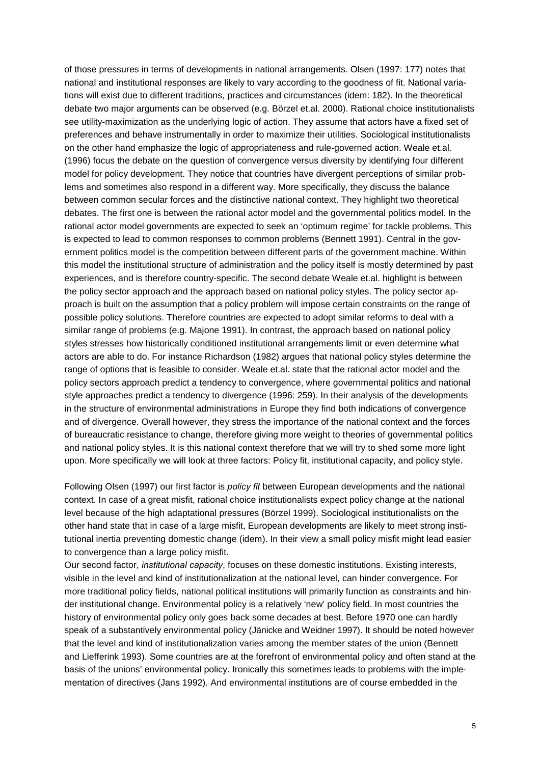of those pressures in terms of developments in national arrangements. Olsen (1997: 177) notes that national and institutional responses are likely to vary according to the goodness of fit. National variations will exist due to different traditions, practices and circumstances (idem: 182). In the theoretical debate two major arguments can be observed (e.g. Börzel et.al. 2000). Rational choice institutionalists see utility-maximization as the underlying logic of action. They assume that actors have a fixed set of preferences and behave instrumentally in order to maximize their utilities. Sociological institutionalists on the other hand emphasize the logic of appropriateness and rule-governed action. Weale et.al. (1996) focus the debate on the question of convergence versus diversity by identifying four different model for policy development. They notice that countries have divergent perceptions of similar problems and sometimes also respond in a different way. More specifically, they discuss the balance between common secular forces and the distinctive national context. They highlight two theoretical debates. The first one is between the rational actor model and the governmental politics model. In the rational actor model governments are expected to seek an 'optimum regime' for tackle problems. This is expected to lead to common responses to common problems (Bennett 1991). Central in the government politics model is the competition between different parts of the government machine. Within this model the institutional structure of administration and the policy itself is mostly determined by past experiences, and is therefore country-specific. The second debate Weale et.al. highlight is between the policy sector approach and the approach based on national policy styles. The policy sector approach is built on the assumption that a policy problem will impose certain constraints on the range of possible policy solutions. Therefore countries are expected to adopt similar reforms to deal with a similar range of problems (e.g. Majone 1991). In contrast, the approach based on national policy styles stresses how historically conditioned institutional arrangements limit or even determine what actors are able to do. For instance Richardson (1982) argues that national policy styles determine the range of options that is feasible to consider. Weale et.al. state that the rational actor model and the policy sectors approach predict a tendency to convergence, where governmental politics and national style approaches predict a tendency to divergence (1996: 259). In their analysis of the developments in the structure of environmental administrations in Europe they find both indications of convergence and of divergence. Overall however, they stress the importance of the national context and the forces of bureaucratic resistance to change, therefore giving more weight to theories of governmental politics and national policy styles. It is this national context therefore that we will try to shed some more light upon. More specifically we will look at three factors: Policy fit, institutional capacity, and policy style.

Following Olsen (1997) our first factor is *policy fit* between European developments and the national context. In case of a great misfit, rational choice institutionalists expect policy change at the national level because of the high adaptational pressures (Börzel 1999). Sociological institutionalists on the other hand state that in case of a large misfit, European developments are likely to meet strong institutional inertia preventing domestic change (idem). In their view a small policy misfit might lead easier to convergence than a large policy misfit.

Our second factor, *institutional capacity*, focuses on these domestic institutions. Existing interests, visible in the level and kind of institutionalization at the national level, can hinder convergence. For more traditional policy fields, national political institutions will primarily function as constraints and hinder institutional change. Environmental policy is a relatively 'new' policy field. In most countries the history of environmental policy only goes back some decades at best. Before 1970 one can hardly speak of a substantively environmental policy (Jänicke and Weidner 1997). It should be noted however that the level and kind of institutionalization varies among the member states of the union (Bennett and Liefferink 1993). Some countries are at the forefront of environmental policy and often stand at the basis of the unions' environmental policy. Ironically this sometimes leads to problems with the implementation of directives (Jans 1992). And environmental institutions are of course embedded in the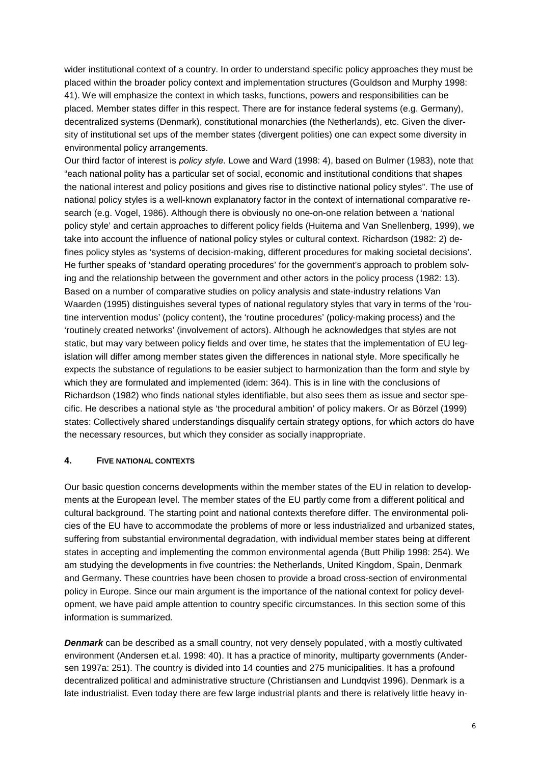wider institutional context of a country. In order to understand specific policy approaches they must be placed within the broader policy context and implementation structures (Gouldson and Murphy 1998: 41). We will emphasize the context in which tasks, functions, powers and responsibilities can be placed. Member states differ in this respect. There are for instance federal systems (e.g. Germany), decentralized systems (Denmark), constitutional monarchies (the Netherlands), etc. Given the diversity of institutional set ups of the member states (divergent polities) one can expect some diversity in environmental policy arrangements.

Our third factor of interest is *policy style*. Lowe and Ward (1998: 4), based on Bulmer (1983), note that "each national polity has a particular set of social, economic and institutional conditions that shapes the national interest and policy positions and gives rise to distinctive national policy styles". The use of national policy styles is a well-known explanatory factor in the context of international comparative research (e.g. Vogel, 1986). Although there is obviously no one-on-one relation between a 'national policy style' and certain approaches to different policy fields (Huitema and Van Snellenberg, 1999), we take into account the influence of national policy styles or cultural context. Richardson (1982: 2) defines policy styles as 'systems of decision-making, different procedures for making societal decisions'. He further speaks of 'standard operating procedures' for the government's approach to problem solving and the relationship between the government and other actors in the policy process (1982: 13). Based on a number of comparative studies on policy analysis and state-industry relations Van Waarden (1995) distinguishes several types of national regulatory styles that vary in terms of the 'routine intervention modus' (policy content), the 'routine procedures' (policy-making process) and the 'routinely created networks' (involvement of actors). Although he acknowledges that styles are not static, but may vary between policy fields and over time, he states that the implementation of EU legislation will differ among member states given the differences in national style. More specifically he expects the substance of regulations to be easier subject to harmonization than the form and style by which they are formulated and implemented (idem: 364). This is in line with the conclusions of Richardson (1982) who finds national styles identifiable, but also sees them as issue and sector specific. He describes a national style as 'the procedural ambition' of policy makers. Or as Börzel (1999) states: Collectively shared understandings disqualify certain strategy options, for which actors do have the necessary resources, but which they consider as socially inappropriate.

# **4. FIVE NATIONAL CONTEXTS**

Our basic question concerns developments within the member states of the EU in relation to developments at the European level. The member states of the EU partly come from a different political and cultural background. The starting point and national contexts therefore differ. The environmental policies of the EU have to accommodate the problems of more or less industrialized and urbanized states, suffering from substantial environmental degradation, with individual member states being at different states in accepting and implementing the common environmental agenda (Butt Philip 1998: 254). We am studying the developments in five countries: the Netherlands, United Kingdom, Spain, Denmark and Germany. These countries have been chosen to provide a broad cross-section of environmental policy in Europe. Since our main argument is the importance of the national context for policy development, we have paid ample attention to country specific circumstances. In this section some of this information is summarized.

**Denmark** can be described as a small country, not very densely populated, with a mostly cultivated environment (Andersen et.al. 1998: 40). It has a practice of minority, multiparty governments (Andersen 1997a: 251). The country is divided into 14 counties and 275 municipalities. It has a profound decentralized political and administrative structure (Christiansen and Lundqvist 1996). Denmark is a late industrialist. Even today there are few large industrial plants and there is relatively little heavy in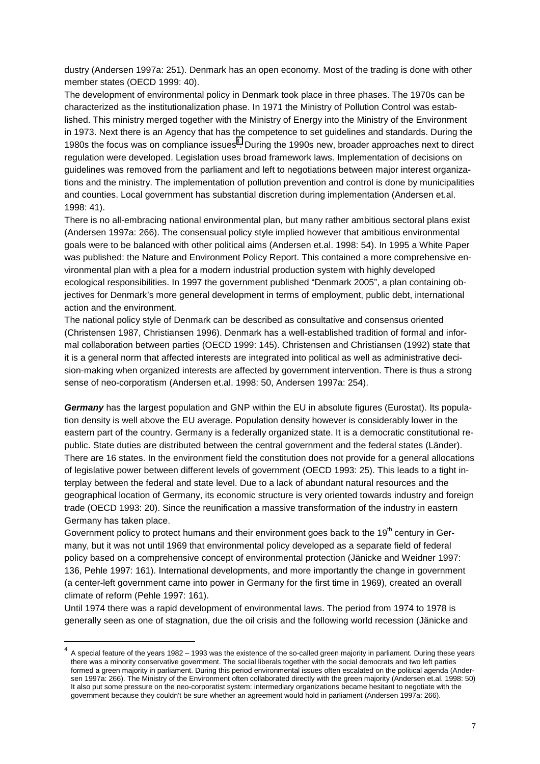dustry (Andersen 1997a: 251). Denmark has an open economy. Most of the trading is done with other member states (OECD 1999: 40).

The development of environmental policy in Denmark took place in three phases. The 1970s can be characterized as the institutionalization phase. In 1971 the Ministry of Pollution Control was established. This ministry merged together with the Ministry of Energy into the Ministry of the Environment in 1973. Next there is an Agency that has the competence to set guidelines and standards. During the 1980s the focus was on compliance issues<sup>4</sup>. During the 1990s new, broader approaches next to direct regulation were developed. Legislation uses broad framework laws. Implementation of decisions on guidelines was removed from the parliament and left to negotiations between major interest organizations and the ministry. The implementation of pollution prevention and control is done by municipalities and counties. Local government has substantial discretion during implementation (Andersen et.al. 1998: 41).

There is no all-embracing national environmental plan, but many rather ambitious sectoral plans exist (Andersen 1997a: 266). The consensual policy style implied however that ambitious environmental goals were to be balanced with other political aims (Andersen et.al. 1998: 54). In 1995 a White Paper was published: the Nature and Environment Policy Report. This contained a more comprehensive environmental plan with a plea for a modern industrial production system with highly developed ecological responsibilities. In 1997 the government published "Denmark 2005", a plan containing objectives for Denmark's more general development in terms of employment, public debt, international action and the environment.

The national policy style of Denmark can be described as consultative and consensus oriented (Christensen 1987, Christiansen 1996). Denmark has a well-established tradition of formal and informal collaboration between parties (OECD 1999: 145). Christensen and Christiansen (1992) state that it is a general norm that affected interests are integrated into political as well as administrative decision-making when organized interests are affected by government intervention. There is thus a strong sense of neo-corporatism (Andersen et.al. 1998: 50, Andersen 1997a: 254).

*Germany* has the largest population and GNP within the EU in absolute figures (Eurostat). Its population density is well above the EU average. Population density however is considerably lower in the eastern part of the country. Germany is a federally organized state. It is a democratic constitutional republic. State duties are distributed between the central government and the federal states (Länder). There are 16 states. In the environment field the constitution does not provide for a general allocations of legislative power between different levels of government (OECD 1993: 25). This leads to a tight interplay between the federal and state level. Due to a lack of abundant natural resources and the geographical location of Germany, its economic structure is very oriented towards industry and foreign trade (OECD 1993: 20). Since the reunification a massive transformation of the industry in eastern Germany has taken place.

Government policy to protect humans and their environment goes back to the  $19<sup>th</sup>$  century in Germany, but it was not until 1969 that environmental policy developed as a separate field of federal policy based on a comprehensive concept of environmental protection (Jänicke and Weidner 1997: 136, Pehle 1997: 161). International developments, and more importantly the change in government (a center-left government came into power in Germany for the first time in 1969), created an overall climate of reform (Pehle 1997: 161).

Until 1974 there was a rapid development of environmental laws. The period from 1974 to 1978 is generally seen as one of stagnation, due the oil crisis and the following world recession (Jänicke and

<sup>4</sup> A special feature of the years 1982 – 1993 was the existence of the so-called green majority in parliament. During these years there was a minority conservative government. The social liberals together with the social democrats and two left parties formed a green majority in parliament. During this period environmental issues often escalated on the political agenda (Andersen 1997a: 266). The Ministry of the Environment often collaborated directly with the green majority (Andersen et.al. 1998: 50) It also put some pressure on the neo-corporatist system: intermediary organizations became hesitant to negotiate with the government because they couldn't be sure whether an agreement would hold in parliament (Andersen 1997a: 266).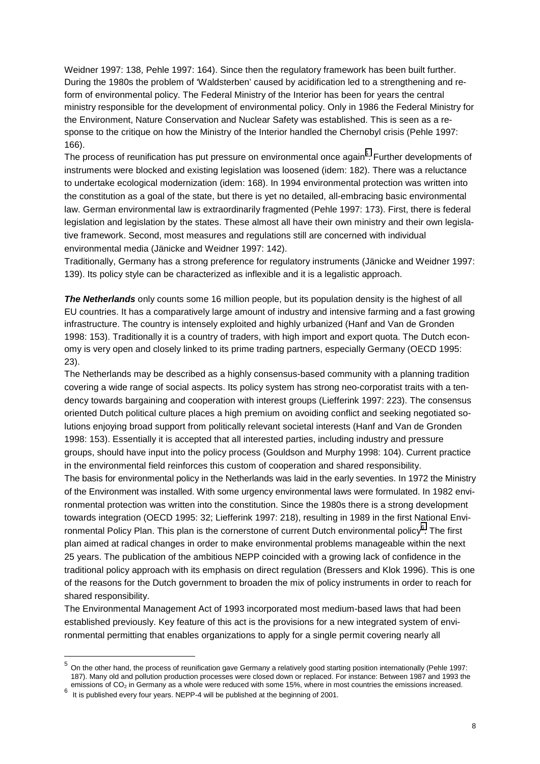Weidner 1997: 138, Pehle 1997: 164). Since then the regulatory framework has been built further. During the 1980s the problem of 'Waldsterben' caused by acidification led to a strengthening and reform of environmental policy. The Federal Ministry of the Interior has been for years the central ministry responsible for the development of environmental policy. Only in 1986 the Federal Ministry for the Environment, Nature Conservation and Nuclear Safety was established. This is seen as a response to the critique on how the Ministry of the Interior handled the Chernobyl crisis (Pehle 1997: 166).

The process of reunification has put pressure on environmental once again<sup>5</sup>. Further developments of instruments were blocked and existing legislation was loosened (idem: 182). There was a reluctance to undertake ecological modernization (idem: 168). In 1994 environmental protection was written into the constitution as a goal of the state, but there is yet no detailed, all-embracing basic environmental law. German environmental law is extraordinarily fragmented (Pehle 1997: 173). First, there is federal legislation and legislation by the states. These almost all have their own ministry and their own legislative framework. Second, most measures and regulations still are concerned with individual environmental media (Jänicke and Weidner 1997: 142).

Traditionally, Germany has a strong preference for regulatory instruments (Jänicke and Weidner 1997: 139). Its policy style can be characterized as inflexible and it is a legalistic approach.

**The Netherlands** only counts some 16 million people, but its population density is the highest of all EU countries. It has a comparatively large amount of industry and intensive farming and a fast growing infrastructure. The country is intensely exploited and highly urbanized (Hanf and Van de Gronden 1998: 153). Traditionally it is a country of traders, with high import and export quota. The Dutch economy is very open and closely linked to its prime trading partners, especially Germany (OECD 1995: 23).

The Netherlands may be described as a highly consensus-based community with a planning tradition covering a wide range of social aspects. Its policy system has strong neo-corporatist traits with a tendency towards bargaining and cooperation with interest groups (Liefferink 1997: 223). The consensus oriented Dutch political culture places a high premium on avoiding conflict and seeking negotiated solutions enjoying broad support from politically relevant societal interests (Hanf and Van de Gronden 1998: 153). Essentially it is accepted that all interested parties, including industry and pressure groups, should have input into the policy process (Gouldson and Murphy 1998: 104). Current practice in the environmental field reinforces this custom of cooperation and shared responsibility.

The basis for environmental policy in the Netherlands was laid in the early seventies. In 1972 the Ministry of the Environment was installed. With some urgency environmental laws were formulated. In 1982 environmental protection was written into the constitution. Since the 1980s there is a strong development towards integration (OECD 1995: 32; Liefferink 1997: 218), resulting in 1989 in the first National Environmental Policy Plan. This plan is the cornerstone of current Dutch environmental policy $^6$ . The first plan aimed at radical changes in order to make environmental problems manageable within the next 25 years. The publication of the ambitious NEPP coincided with a growing lack of confidence in the traditional policy approach with its emphasis on direct regulation (Bressers and Klok 1996). This is one of the reasons for the Dutch government to broaden the mix of policy instruments in order to reach for shared responsibility.

The Environmental Management Act of 1993 incorporated most medium-based laws that had been established previously. Key feature of this act is the provisions for a new integrated system of environmental permitting that enables organizations to apply for a single permit covering nearly all

<sup>5</sup> On the other hand, the process of reunification gave Germany a relatively good starting position internationally (Pehle 1997: 187). Many old and pollution production processes were closed down or replaced. For instance: Between 1987 and 1993 the emissions of CO<sub>2</sub> in Germany as a whole were reduced with some 15%, where in most countries the emissions increased.

It is published every four years. NEPP-4 will be published at the beginning of 2001.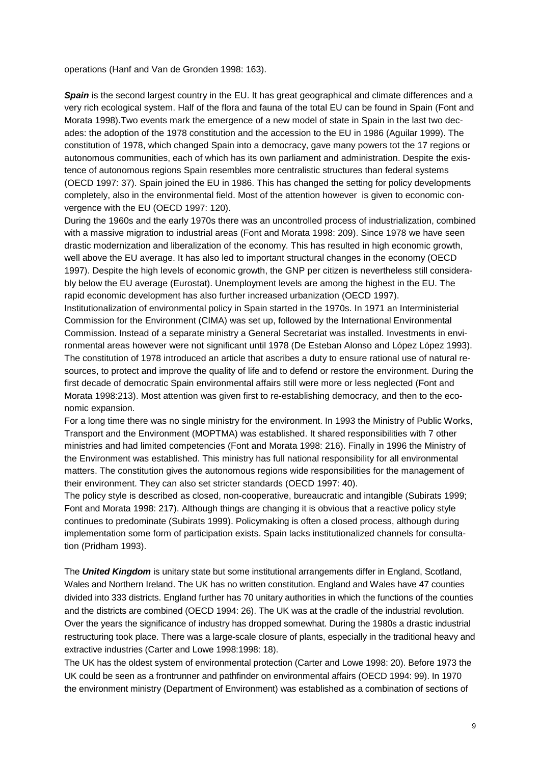operations (Hanf and Van de Gronden 1998: 163).

**Spain** is the second largest country in the EU. It has great geographical and climate differences and a very rich ecological system. Half of the flora and fauna of the total EU can be found in Spain (Font and Morata 1998).Two events mark the emergence of a new model of state in Spain in the last two decades: the adoption of the 1978 constitution and the accession to the EU in 1986 (Aguilar 1999). The constitution of 1978, which changed Spain into a democracy, gave many powers tot the 17 regions or autonomous communities, each of which has its own parliament and administration. Despite the existence of autonomous regions Spain resembles more centralistic structures than federal systems (OECD 1997: 37). Spain joined the EU in 1986. This has changed the setting for policy developments completely, also in the environmental field. Most of the attention however is given to economic convergence with the EU (OECD 1997: 120).

During the 1960s and the early 1970s there was an uncontrolled process of industrialization, combined with a massive migration to industrial areas (Font and Morata 1998: 209). Since 1978 we have seen drastic modernization and liberalization of the economy. This has resulted in high economic growth, well above the EU average. It has also led to important structural changes in the economy (OECD 1997). Despite the high levels of economic growth, the GNP per citizen is nevertheless still considerably below the EU average (Eurostat). Unemployment levels are among the highest in the EU. The rapid economic development has also further increased urbanization (OECD 1997).

Institutionalization of environmental policy in Spain started in the 1970s. In 1971 an Interministerial Commission for the Environment (CIMA) was set up, followed by the International Environmental Commission. Instead of a separate ministry a General Secretariat was installed. Investments in environmental areas however were not significant until 1978 (De Esteban Alonso and López López 1993). The constitution of 1978 introduced an article that ascribes a duty to ensure rational use of natural resources, to protect and improve the quality of life and to defend or restore the environment. During the first decade of democratic Spain environmental affairs still were more or less neglected (Font and Morata 1998:213). Most attention was given first to re-establishing democracy, and then to the economic expansion.

For a long time there was no single ministry for the environment. In 1993 the Ministry of Public Works, Transport and the Environment (MOPTMA) was established. It shared responsibilities with 7 other ministries and had limited competencies (Font and Morata 1998: 216). Finally in 1996 the Ministry of the Environment was established. This ministry has full national responsibility for all environmental matters. The constitution gives the autonomous regions wide responsibilities for the management of their environment. They can also set stricter standards (OECD 1997: 40).

The policy style is described as closed, non-cooperative, bureaucratic and intangible (Subirats 1999; Font and Morata 1998: 217). Although things are changing it is obvious that a reactive policy style continues to predominate (Subirats 1999). Policymaking is often a closed process, although during implementation some form of participation exists. Spain lacks institutionalized channels for consultation (Pridham 1993).

The *United Kingdom* is unitary state but some institutional arrangements differ in England, Scotland, Wales and Northern Ireland. The UK has no written constitution. England and Wales have 47 counties divided into 333 districts. England further has 70 unitary authorities in which the functions of the counties and the districts are combined (OECD 1994: 26). The UK was at the cradle of the industrial revolution. Over the years the significance of industry has dropped somewhat. During the 1980s a drastic industrial restructuring took place. There was a large-scale closure of plants, especially in the traditional heavy and extractive industries (Carter and Lowe 1998:1998: 18).

The UK has the oldest system of environmental protection (Carter and Lowe 1998: 20). Before 1973 the UK could be seen as a frontrunner and pathfinder on environmental affairs (OECD 1994: 99). In 1970 the environment ministry (Department of Environment) was established as a combination of sections of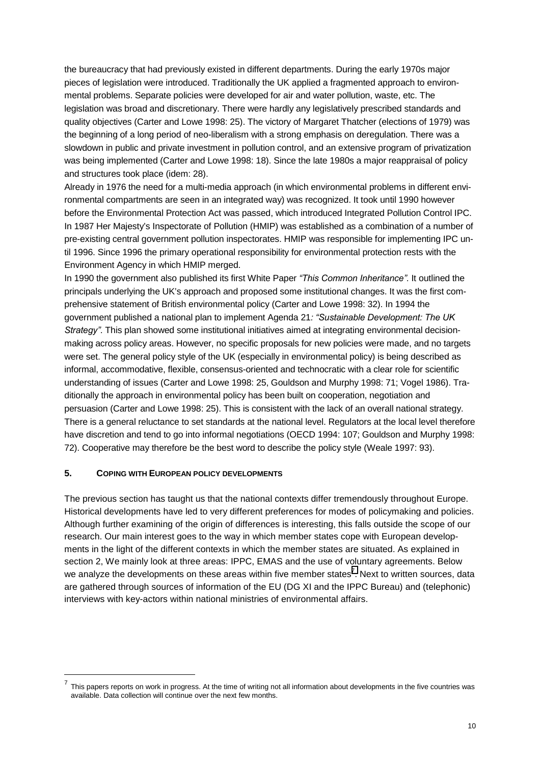the bureaucracy that had previously existed in different departments. During the early 1970s major pieces of legislation were introduced. Traditionally the UK applied a fragmented approach to environmental problems. Separate policies were developed for air and water pollution, waste, etc. The legislation was broad and discretionary. There were hardly any legislatively prescribed standards and quality objectives (Carter and Lowe 1998: 25). The victory of Margaret Thatcher (elections of 1979) was the beginning of a long period of neo-liberalism with a strong emphasis on deregulation. There was a slowdown in public and private investment in pollution control, and an extensive program of privatization was being implemented (Carter and Lowe 1998: 18). Since the late 1980s a major reappraisal of policy and structures took place (idem: 28).

Already in 1976 the need for a multi-media approach (in which environmental problems in different environmental compartments are seen in an integrated way) was recognized. It took until 1990 however before the Environmental Protection Act was passed, which introduced Integrated Pollution Control IPC. In 1987 Her Majesty's Inspectorate of Pollution (HMIP) was established as a combination of a number of pre-existing central government pollution inspectorates. HMIP was responsible for implementing IPC until 1996. Since 1996 the primary operational responsibility for environmental protection rests with the Environment Agency in which HMIP merged.

In 1990 the government also published its first White Paper *"This Common Inheritance*". It outlined the principals underlying the UK's approach and proposed some institutional changes. It was the first comprehensive statement of British environmental policy (Carter and Lowe 1998: 32). In 1994 the government published a national plan to implement Agenda 21*: ìSustainable Development: The UK Strategyî*. This plan showed some institutional initiatives aimed at integrating environmental decisionmaking across policy areas. However, no specific proposals for new policies were made, and no targets were set. The general policy style of the UK (especially in environmental policy) is being described as informal, accommodative, flexible, consensus-oriented and technocratic with a clear role for scientific understanding of issues (Carter and Lowe 1998: 25, Gouldson and Murphy 1998: 71; Vogel 1986). Traditionally the approach in environmental policy has been built on cooperation, negotiation and persuasion (Carter and Lowe 1998: 25). This is consistent with the lack of an overall national strategy. There is a general reluctance to set standards at the national level. Regulators at the local level therefore have discretion and tend to go into informal negotiations (OECD 1994: 107; Gouldson and Murphy 1998: 72). Cooperative may therefore be the best word to describe the policy style (Weale 1997: 93).

#### **5. COPING WITH EUROPEAN POLICY DEVELOPMENTS**

l

The previous section has taught us that the national contexts differ tremendously throughout Europe. Historical developments have led to very different preferences for modes of policymaking and policies. Although further examining of the origin of differences is interesting, this falls outside the scope of our research. Our main interest goes to the way in which member states cope with European developments in the light of the different contexts in which the member states are situated. As explained in section 2, We mainly look at three areas: IPPC, EMAS and the use of voluntary agreements. Below we analyze the developments on these areas within five member states<sup>7</sup>. Next to written sources, data are gathered through sources of information of the EU (DG XI and the IPPC Bureau) and (telephonic) interviews with key-actors within national ministries of environmental affairs.

<sup>7</sup> This papers reports on work in progress. At the time of writing not all information about developments in the five countries was available. Data collection will continue over the next few months.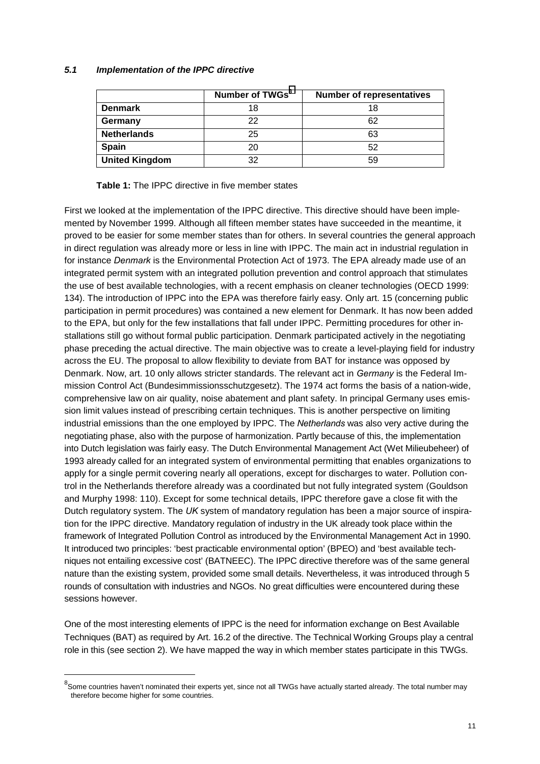#### *5.1 Implementation of the IPPC directive*

|                       | Number of TWGs <sup>8</sup> | <b>Number of representatives</b> |
|-----------------------|-----------------------------|----------------------------------|
| <b>Denmark</b>        | 18                          | 18                               |
| Germany               | 22                          | 62                               |
| <b>Netherlands</b>    | 25                          | 63                               |
| Spain                 | 20                          | 52                               |
| <b>United Kingdom</b> | 32                          | 59                               |

**Table 1:** The IPPC directive in five member states

First we looked at the implementation of the IPPC directive. This directive should have been implemented by November 1999. Although all fifteen member states have succeeded in the meantime, it proved to be easier for some member states than for others. In several countries the general approach in direct regulation was already more or less in line with IPPC. The main act in industrial regulation in for instance *Denmark* is the Environmental Protection Act of 1973. The EPA already made use of an integrated permit system with an integrated pollution prevention and control approach that stimulates the use of best available technologies, with a recent emphasis on cleaner technologies (OECD 1999: 134). The introduction of IPPC into the EPA was therefore fairly easy. Only art. 15 (concerning public participation in permit procedures) was contained a new element for Denmark. It has now been added to the EPA, but only for the few installations that fall under IPPC. Permitting procedures for other installations still go without formal public participation. Denmark participated actively in the negotiating phase preceding the actual directive. The main objective was to create a level-playing field for industry across the EU. The proposal to allow flexibility to deviate from BAT for instance was opposed by Denmark. Now, art. 10 only allows stricter standards. The relevant act in *Germany* is the Federal Immission Control Act (Bundesimmissionsschutzgesetz). The 1974 act forms the basis of a nation-wide, comprehensive law on air quality, noise abatement and plant safety. In principal Germany uses emission limit values instead of prescribing certain techniques. This is another perspective on limiting industrial emissions than the one employed by IPPC. The *Netherlands* was also very active during the negotiating phase, also with the purpose of harmonization. Partly because of this, the implementation into Dutch legislation was fairly easy. The Dutch Environmental Management Act (Wet Milieubeheer) of 1993 already called for an integrated system of environmental permitting that enables organizations to apply for a single permit covering nearly all operations, except for discharges to water. Pollution control in the Netherlands therefore already was a coordinated but not fully integrated system (Gouldson and Murphy 1998: 110). Except for some technical details, IPPC therefore gave a close fit with the Dutch regulatory system. The *UK* system of mandatory regulation has been a major source of inspiration for the IPPC directive. Mandatory regulation of industry in the UK already took place within the framework of Integrated Pollution Control as introduced by the Environmental Management Act in 1990. It introduced two principles: 'best practicable environmental option' (BPEO) and 'best available techniques not entailing excessive cost' (BATNEEC). The IPPC directive therefore was of the same general nature than the existing system, provided some small details. Nevertheless, it was introduced through 5 rounds of consultation with industries and NGOs. No great difficulties were encountered during these sessions however.

One of the most interesting elements of IPPC is the need for information exchange on Best Available Techniques (BAT) as required by Art. 16.2 of the directive. The Technical Working Groups play a central role in this (see section 2). We have mapped the way in which member states participate in this TWGs.

 $^8$ Some countries haven't nominated their experts yet, since not all TWGs have actually started already. The total number may therefore become higher for some countries.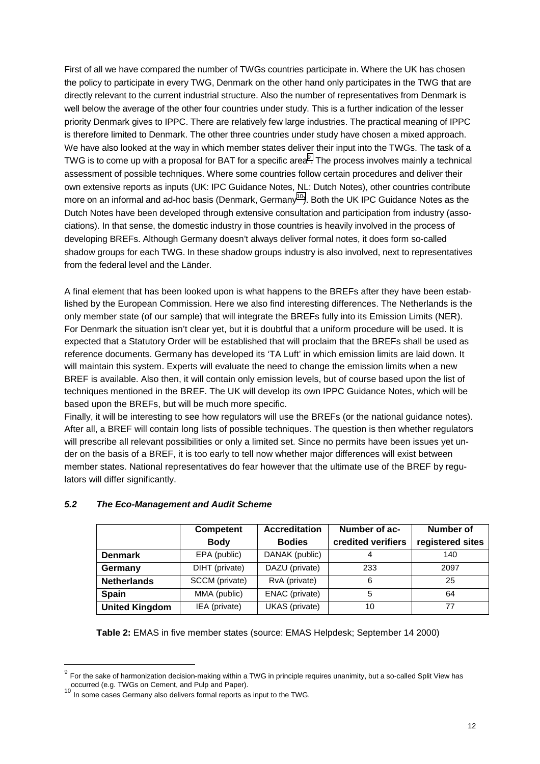First of all we have compared the number of TWGs countries participate in. Where the UK has chosen the policy to participate in every TWG, Denmark on the other hand only participates in the TWG that are directly relevant to the current industrial structure. Also the number of representatives from Denmark is well below the average of the other four countries under study. This is a further indication of the lesser priority Denmark gives to IPPC. There are relatively few large industries. The practical meaning of IPPC is therefore limited to Denmark. The other three countries under study have chosen a mixed approach. We have also looked at the way in which member states deliver their input into the TWGs. The task of a TWG is to come up with a proposal for BAT for a specific area $^9$ . The process involves mainly a technical assessment of possible techniques. Where some countries follow certain procedures and deliver their own extensive reports as inputs (UK: IPC Guidance Notes, NL: Dutch Notes), other countries contribute more on an informal and ad-hoc basis (Denmark, Germany<sup>10</sup>). Both the UK IPC Guidance Notes as the Dutch Notes have been developed through extensive consultation and participation from industry (associations). In that sense, the domestic industry in those countries is heavily involved in the process of developing BREFs. Although Germany doesn't always deliver formal notes, it does form so-called shadow groups for each TWG. In these shadow groups industry is also involved, next to representatives from the federal level and the Länder.

A final element that has been looked upon is what happens to the BREFs after they have been established by the European Commission. Here we also find interesting differences. The Netherlands is the only member state (of our sample) that will integrate the BREFs fully into its Emission Limits (NER). For Denmark the situation isn't clear yet, but it is doubtful that a uniform procedure will be used. It is expected that a Statutory Order will be established that will proclaim that the BREFs shall be used as reference documents. Germany has developed its 'TA Luft' in which emission limits are laid down. It will maintain this system. Experts will evaluate the need to change the emission limits when a new BREF is available. Also then, it will contain only emission levels, but of course based upon the list of techniques mentioned in the BREF. The UK will develop its own IPPC Guidance Notes, which will be based upon the BREFs, but will be much more specific.

Finally, it will be interesting to see how regulators will use the BREFs (or the national guidance notes). After all, a BREF will contain long lists of possible techniques. The question is then whether regulators will prescribe all relevant possibilities or only a limited set. Since no permits have been issues yet under on the basis of a BREF, it is too early to tell now whether major differences will exist between member states. National representatives do fear however that the ultimate use of the BREF by regulators will differ significantly.

|                       | <b>Competent</b> | <b>Accreditation</b> | Number of ac-      | Number of        |
|-----------------------|------------------|----------------------|--------------------|------------------|
|                       | <b>Body</b>      | <b>Bodies</b>        | credited verifiers | registered sites |
| <b>Denmark</b>        | EPA (public)     | DANAK (public)       | 4                  | 140              |
| Germany               | DIHT (private)   | DAZU (private)       | 233                | 2097             |
| <b>Netherlands</b>    | SCCM (private)   | RvA (private)        | 6                  | 25               |
| <b>Spain</b>          | MMA (public)     | ENAC (private)       | 5                  | 64               |
| <b>United Kingdom</b> | IEA (private)    | UKAS (private)       | 10                 | 77               |

### *5.2 The Eco-Management and Audit Scheme*

**Table 2:** EMAS in five member states (source: EMAS Helpdesk; September 14 2000)

 $9$  For the sake of harmonization decision-making within a TWG in principle requires unanimity, but a so-called Split View has occurred (e.g. TWGs on Cement, and Pulp and Paper).<br><sup>10</sup> In some cases Germany also delivers formal reports as input to the TWG.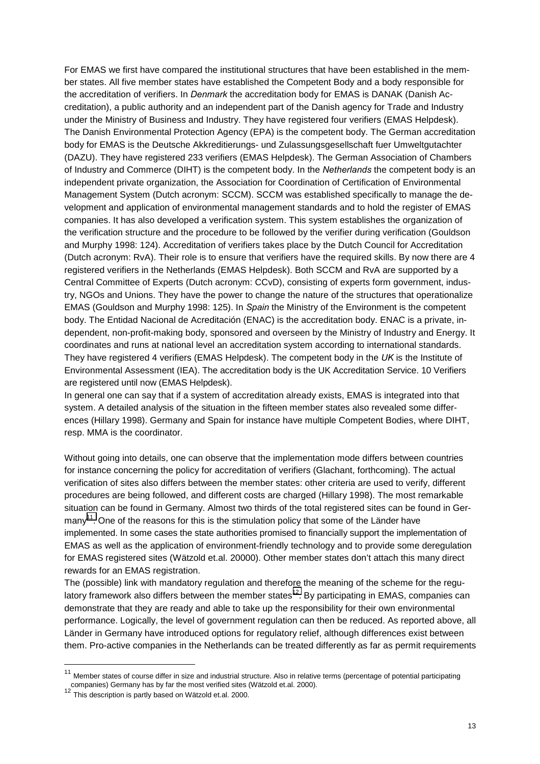For EMAS we first have compared the institutional structures that have been established in the member states. All five member states have established the Competent Body and a body responsible for the accreditation of verifiers. In *Denmark* the accreditation body for EMAS is DANAK (Danish Accreditation), a public authority and an independent part of the Danish agency for Trade and Industry under the Ministry of Business and Industry. They have registered four verifiers (EMAS Helpdesk). The Danish Environmental Protection Agency (EPA) is the competent body. The German accreditation body for EMAS is the Deutsche Akkreditierungs- und Zulassungsgesellschaft fuer Umweltgutachter (DAZU). They have registered 233 verifiers (EMAS Helpdesk). The German Association of Chambers of Industry and Commerce (DIHT) is the competent body. In the *Netherlands* the competent body is an independent private organization, the Association for Coordination of Certification of Environmental Management System (Dutch acronym: SCCM). SCCM was established specifically to manage the development and application of environmental management standards and to hold the register of EMAS companies. It has also developed a verification system. This system establishes the organization of the verification structure and the procedure to be followed by the verifier during verification (Gouldson and Murphy 1998: 124). Accreditation of verifiers takes place by the Dutch Council for Accreditation (Dutch acronym: RvA). Their role is to ensure that verifiers have the required skills. By now there are 4 registered verifiers in the Netherlands (EMAS Helpdesk). Both SCCM and RvA are supported by a Central Committee of Experts (Dutch acronym: CCvD), consisting of experts form government, industry, NGOs and Unions. They have the power to change the nature of the structures that operationalize EMAS (Gouldson and Murphy 1998: 125). In *Spain* the Ministry of the Environment is the competent body. The Entidad Nacional de Acreditación (ENAC) is the accreditation body. ENAC is a private, independent, non-profit-making body, sponsored and overseen by the Ministry of Industry and Energy. It coordinates and runs at national level an accreditation system according to international standards. They have registered 4 verifiers (EMAS Helpdesk). The competent body in the *UK* is the Institute of Environmental Assessment (IEA). The accreditation body is the UK Accreditation Service. 10 Verifiers are registered until now (EMAS Helpdesk).

In general one can say that if a system of accreditation already exists, EMAS is integrated into that system. A detailed analysis of the situation in the fifteen member states also revealed some differences (Hillary 1998). Germany and Spain for instance have multiple Competent Bodies, where DIHT, resp. MMA is the coordinator.

Without going into details, one can observe that the implementation mode differs between countries for instance concerning the policy for accreditation of verifiers (Glachant, forthcoming). The actual verification of sites also differs between the member states: other criteria are used to verify, different procedures are being followed, and different costs are charged (Hillary 1998). The most remarkable situation can be found in Germany. Almost two thirds of the total registered sites can be found in Germany<sup>11</sup>. One of the reasons for this is the stimulation policy that some of the Länder have implemented. In some cases the state authorities promised to financially support the implementation of EMAS as well as the application of environment-friendly technology and to provide some deregulation for EMAS registered sites (Wätzold et.al. 20000). Other member states don't attach this many direct rewards for an EMAS registration.

The (possible) link with mandatory regulation and therefore the meaning of the scheme for the regulatory framework also differs between the member states<sup>12</sup>. By participating in EMAS, companies can demonstrate that they are ready and able to take up the responsibility for their own environmental performance. Logically, the level of government regulation can then be reduced. As reported above, all Länder in Germany have introduced options for regulatory relief, although differences exist between them. Pro-active companies in the Netherlands can be treated differently as far as permit requirements

 $11$  Member states of course differ in size and industrial structure. Also in relative terms (percentage of potential participating companies) Germany has by far the most verified sites (Wätzold et.al. 2000).<br><sup>12</sup> This description is partly based on Wätzold et.al. 2000.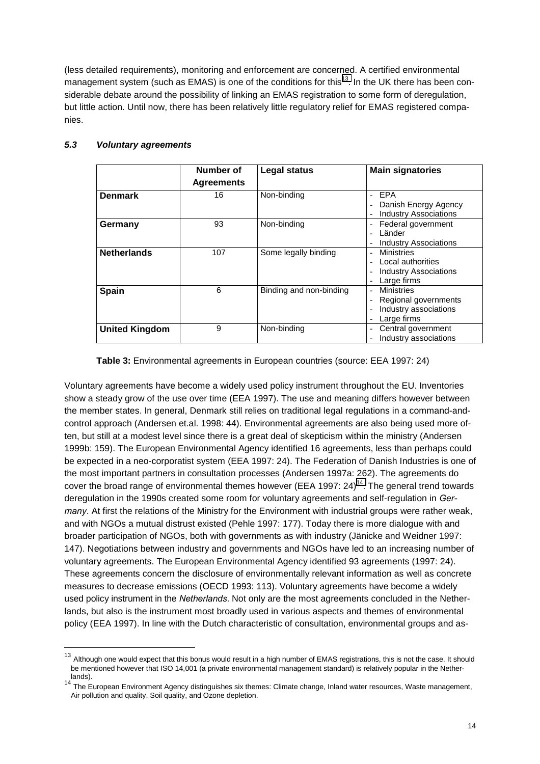(less detailed requirements), monitoring and enforcement are concerned. A certified environmental management system (such as EMAS) is one of the conditions for this<sup>13</sup>. In the UK there has been considerable debate around the possibility of linking an EMAS registration to some form of deregulation, but little action. Until now, there has been relatively little regulatory relief for EMAS registered companies.

|                       | Number of<br><b>Agreements</b> | <b>Legal status</b>     | <b>Main signatories</b>                                                                                       |
|-----------------------|--------------------------------|-------------------------|---------------------------------------------------------------------------------------------------------------|
| <b>Denmark</b>        | 16                             | Non-binding             | EPA<br>$\overline{a}$<br>Danish Energy Agency<br><b>Industry Associations</b>                                 |
| Germany               | 93                             | Non-binding             | Federal government<br>$\overline{\phantom{a}}$<br>Länder<br>$\overline{a}$<br><b>Industry Associations</b>    |
| <b>Netherlands</b>    | 107                            | Some legally binding    | <b>Ministries</b><br>Local authorities<br><b>Industry Associations</b><br>$\qquad \qquad$<br>Large firms      |
| <b>Spain</b>          | 6                              | Binding and non-binding | <b>Ministries</b><br>$\overline{\phantom{a}}$<br>Regional governments<br>Industry associations<br>Large firms |
| <b>United Kingdom</b> | 9                              | Non-binding             | Central government<br>Industry associations                                                                   |

### *5.3 Voluntary agreements*

l

**Table 3:** Environmental agreements in European countries (source: EEA 1997: 24)

Voluntary agreements have become a widely used policy instrument throughout the EU. Inventories show a steady grow of the use over time (EEA 1997). The use and meaning differs however between the member states. In general, Denmark still relies on traditional legal regulations in a command-andcontrol approach (Andersen et.al. 1998: 44). Environmental agreements are also being used more often, but still at a modest level since there is a great deal of skepticism within the ministry (Andersen 1999b: 159). The European Environmental Agency identified 16 agreements, less than perhaps could be expected in a neo-corporatist system (EEA 1997: 24). The Federation of Danish Industries is one of the most important partners in consultation processes (Andersen 1997a: 262). The agreements do cover the broad range of environmental themes however (EEA 1997:  $24$ )<sup>14</sup>. The general trend towards deregulation in the 1990s created some room for voluntary agreements and self-regulation in *Germany*. At first the relations of the Ministry for the Environment with industrial groups were rather weak, and with NGOs a mutual distrust existed (Pehle 1997: 177). Today there is more dialogue with and broader participation of NGOs, both with governments as with industry (Jänicke and Weidner 1997: 147). Negotiations between industry and governments and NGOs have led to an increasing number of voluntary agreements. The European Environmental Agency identified 93 agreements (1997: 24). These agreements concern the disclosure of environmentally relevant information as well as concrete measures to decrease emissions (OECD 1993: 113). Voluntary agreements have become a widely used policy instrument in the *Netherlands*. Not only are the most agreements concluded in the Netherlands, but also is the instrument most broadly used in various aspects and themes of environmental policy (EEA 1997). In line with the Dutch characteristic of consultation, environmental groups and as-

<sup>&</sup>lt;sup>13</sup> Although one would expect that this bonus would result in a high number of EMAS registrations, this is not the case. It should be mentioned however that ISO 14,001 (a private environmental management standard) is relatively popular in the Nether-

lands).<br><sup>14</sup> The European Environment Agency distinguishes six themes: Climate change, Inland water resources, Waste management, Air pollution and quality, Soil quality, and Ozone depletion.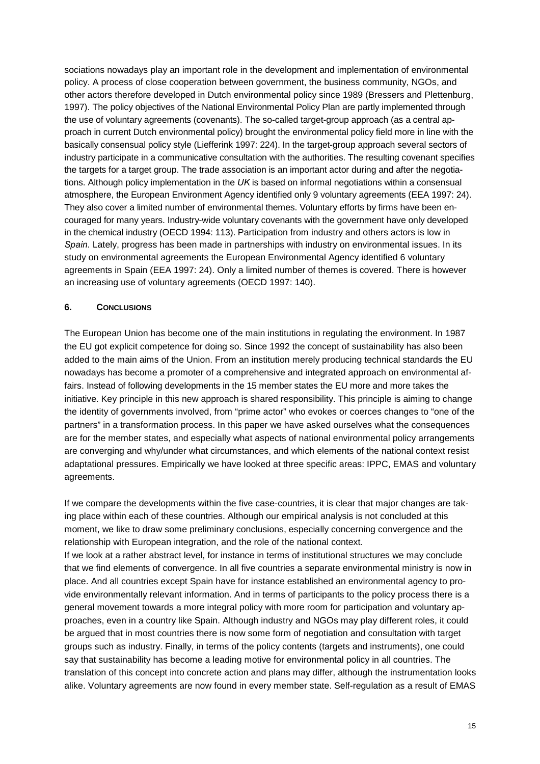sociations nowadays play an important role in the development and implementation of environmental policy. A process of close cooperation between government, the business community, NGOs, and other actors therefore developed in Dutch environmental policy since 1989 (Bressers and Plettenburg, 1997). The policy objectives of the National Environmental Policy Plan are partly implemented through the use of voluntary agreements (covenants). The so-called target-group approach (as a central approach in current Dutch environmental policy) brought the environmental policy field more in line with the basically consensual policy style (Liefferink 1997: 224). In the target-group approach several sectors of industry participate in a communicative consultation with the authorities. The resulting covenant specifies the targets for a target group. The trade association is an important actor during and after the negotiations. Although policy implementation in the *UK* is based on informal negotiations within a consensual atmosphere, the European Environment Agency identified only 9 voluntary agreements (EEA 1997: 24). They also cover a limited number of environmental themes. Voluntary efforts by firms have been encouraged for many years. Industry-wide voluntary covenants with the government have only developed in the chemical industry (OECD 1994: 113). Participation from industry and others actors is low in *Spain*. Lately, progress has been made in partnerships with industry on environmental issues. In its study on environmental agreements the European Environmental Agency identified 6 voluntary agreements in Spain (EEA 1997: 24). Only a limited number of themes is covered. There is however an increasing use of voluntary agreements (OECD 1997: 140).

### **6. CONCLUSIONS**

The European Union has become one of the main institutions in regulating the environment. In 1987 the EU got explicit competence for doing so. Since 1992 the concept of sustainability has also been added to the main aims of the Union. From an institution merely producing technical standards the EU nowadays has become a promoter of a comprehensive and integrated approach on environmental affairs. Instead of following developments in the 15 member states the EU more and more takes the initiative. Key principle in this new approach is shared responsibility. This principle is aiming to change the identity of governments involved, from "prime actor" who evokes or coerces changes to "one of the partners" in a transformation process. In this paper we have asked ourselves what the consequences are for the member states, and especially what aspects of national environmental policy arrangements are converging and why/under what circumstances, and which elements of the national context resist adaptational pressures. Empirically we have looked at three specific areas: IPPC, EMAS and voluntary agreements.

If we compare the developments within the five case-countries, it is clear that major changes are taking place within each of these countries. Although our empirical analysis is not concluded at this moment, we like to draw some preliminary conclusions, especially concerning convergence and the relationship with European integration, and the role of the national context. If we look at a rather abstract level, for instance in terms of institutional structures we may conclude that we find elements of convergence. In all five countries a separate environmental ministry is now in place. And all countries except Spain have for instance established an environmental agency to provide environmentally relevant information. And in terms of participants to the policy process there is a general movement towards a more integral policy with more room for participation and voluntary approaches, even in a country like Spain. Although industry and NGOs may play different roles, it could be argued that in most countries there is now some form of negotiation and consultation with target groups such as industry. Finally, in terms of the policy contents (targets and instruments), one could say that sustainability has become a leading motive for environmental policy in all countries. The translation of this concept into concrete action and plans may differ, although the instrumentation looks alike. Voluntary agreements are now found in every member state. Self-regulation as a result of EMAS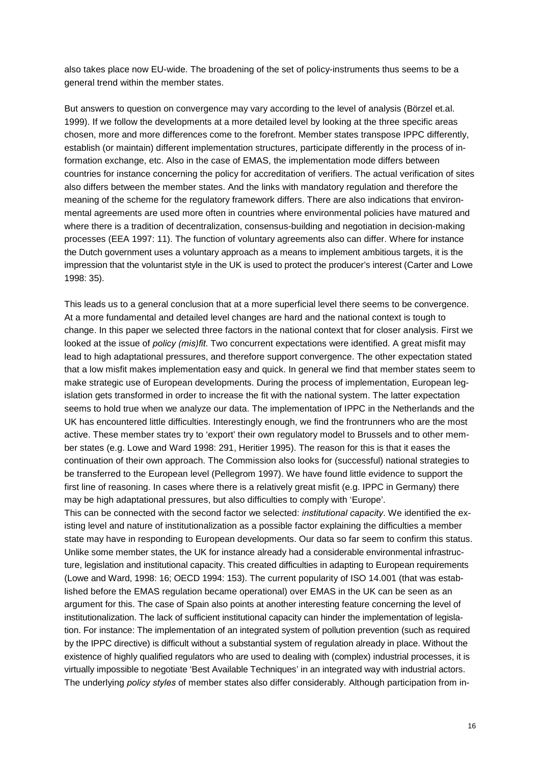also takes place now EU-wide. The broadening of the set of policy-instruments thus seems to be a general trend within the member states.

But answers to question on convergence may vary according to the level of analysis (Börzel et.al. 1999). If we follow the developments at a more detailed level by looking at the three specific areas chosen, more and more differences come to the forefront. Member states transpose IPPC differently, establish (or maintain) different implementation structures, participate differently in the process of information exchange, etc. Also in the case of EMAS, the implementation mode differs between countries for instance concerning the policy for accreditation of verifiers. The actual verification of sites also differs between the member states. And the links with mandatory regulation and therefore the meaning of the scheme for the regulatory framework differs. There are also indications that environmental agreements are used more often in countries where environmental policies have matured and where there is a tradition of decentralization, consensus-building and negotiation in decision-making processes (EEA 1997: 11). The function of voluntary agreements also can differ. Where for instance the Dutch government uses a voluntary approach as a means to implement ambitious targets, it is the impression that the voluntarist style in the UK is used to protect the producer's interest (Carter and Lowe 1998: 35).

This leads us to a general conclusion that at a more superficial level there seems to be convergence. At a more fundamental and detailed level changes are hard and the national context is tough to change. In this paper we selected three factors in the national context that for closer analysis. First we looked at the issue of *policy (mis)fit*. Two concurrent expectations were identified. A great misfit may lead to high adaptational pressures, and therefore support convergence. The other expectation stated that a low misfit makes implementation easy and quick. In general we find that member states seem to make strategic use of European developments. During the process of implementation, European legislation gets transformed in order to increase the fit with the national system. The latter expectation seems to hold true when we analyze our data. The implementation of IPPC in the Netherlands and the UK has encountered little difficulties. Interestingly enough, we find the frontrunners who are the most active. These member states try to 'export' their own regulatory model to Brussels and to other member states (e.g. Lowe and Ward 1998: 291, Heritier 1995). The reason for this is that it eases the continuation of their own approach. The Commission also looks for (successful) national strategies to be transferred to the European level (Pellegrom 1997). We have found little evidence to support the first line of reasoning. In cases where there is a relatively great misfit (e.g. IPPC in Germany) there may be high adaptational pressures, but also difficulties to comply with 'Europe'.

This can be connected with the second factor we selected: *institutional capacity*. We identified the existing level and nature of institutionalization as a possible factor explaining the difficulties a member state may have in responding to European developments. Our data so far seem to confirm this status. Unlike some member states, the UK for instance already had a considerable environmental infrastructure, legislation and institutional capacity. This created difficulties in adapting to European requirements (Lowe and Ward, 1998: 16; OECD 1994: 153). The current popularity of ISO 14.001 (that was established before the EMAS regulation became operational) over EMAS in the UK can be seen as an argument for this. The case of Spain also points at another interesting feature concerning the level of institutionalization. The lack of sufficient institutional capacity can hinder the implementation of legislation. For instance: The implementation of an integrated system of pollution prevention (such as required by the IPPC directive) is difficult without a substantial system of regulation already in place. Without the existence of highly qualified regulators who are used to dealing with (complex) industrial processes, it is virtually impossible to negotiate 'Best Available Techniques' in an integrated way with industrial actors. The underlying *policy styles* of member states also differ considerably. Although participation from in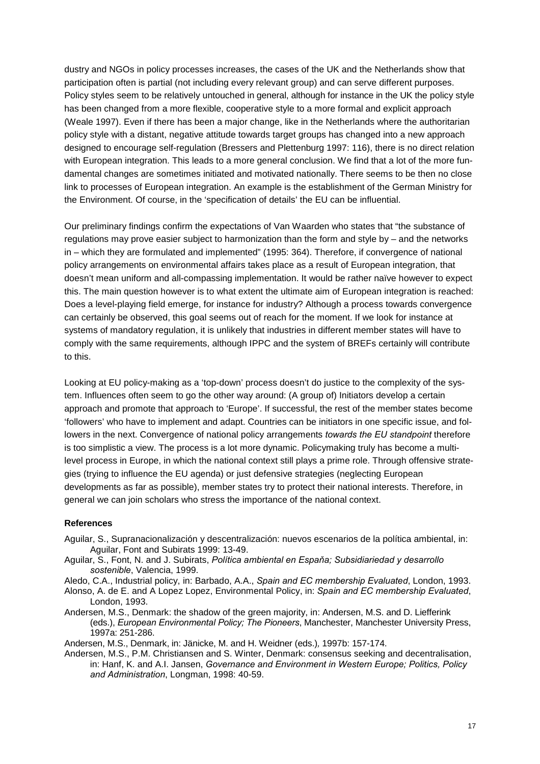dustry and NGOs in policy processes increases, the cases of the UK and the Netherlands show that participation often is partial (not including every relevant group) and can serve different purposes. Policy styles seem to be relatively untouched in general, although for instance in the UK the policy style has been changed from a more flexible, cooperative style to a more formal and explicit approach (Weale 1997). Even if there has been a major change, like in the Netherlands where the authoritarian policy style with a distant, negative attitude towards target groups has changed into a new approach designed to encourage self-regulation (Bressers and Plettenburg 1997: 116), there is no direct relation with European integration. This leads to a more general conclusion. We find that a lot of the more fundamental changes are sometimes initiated and motivated nationally. There seems to be then no close link to processes of European integration. An example is the establishment of the German Ministry for the Environment. Of course, in the 'specification of details' the EU can be influential.

Our preliminary findings confirm the expectations of Van Waarden who states that "the substance of regulations may prove easier subject to harmonization than the form and style by – and the networks in – which they are formulated and implemented" (1995: 364). Therefore, if convergence of national policy arrangements on environmental affairs takes place as a result of European integration, that doesn't mean uniform and all-compassing implementation. It would be rather naïve however to expect this. The main question however is to what extent the ultimate aim of European integration is reached: Does a level-playing field emerge, for instance for industry? Although a process towards convergence can certainly be observed, this goal seems out of reach for the moment. If we look for instance at systems of mandatory regulation, it is unlikely that industries in different member states will have to comply with the same requirements, although IPPC and the system of BREFs certainly will contribute to this.

Looking at EU policy-making as a 'top-down' process doesn't do justice to the complexity of the system. Influences often seem to go the other way around: (A group of) Initiators develop a certain approach and promote that approach to 'Europe'. If successful, the rest of the member states become 'followers' who have to implement and adapt. Countries can be initiators in one specific issue, and followers in the next. Convergence of national policy arrangements *towards the EU standpoint* therefore is too simplistic a view. The process is a lot more dynamic. Policymaking truly has become a multilevel process in Europe, in which the national context still plays a prime role. Through offensive strategies (trying to influence the EU agenda) or just defensive strategies (neglecting European developments as far as possible), member states try to protect their national interests. Therefore, in general we can join scholars who stress the importance of the national context.

#### **References**

- Aguilar, S., Supranacionalización y descentralización: nuevos escenarios de la política ambiental, in: Aguilar, Font and Subirats 1999: 13-49.
- Aguilar, S., Font, N. and J. Subirats, *PolÌtica ambiental en Espaňa; Subsidiariedad y desarrollo sostenible*, Valencia, 1999.

Aledo, C.A., Industrial policy, in: Barbado, A.A., *Spain and EC membership Evaluated*, London, 1993.

Alonso, A. de E. and A Lopez Lopez, Environmental Policy, in: *Spain and EC membership Evaluated*, London, 1993.

Andersen, M.S., Denmark: the shadow of the green majority, in: Andersen, M.S. and D. Liefferink (eds.), *European Environmental Policy; The Pioneers*, Manchester, Manchester University Press, 1997a: 251-286.

Andersen, M.S., Denmark, in: Jänicke, M. and H. Weidner (eds.)*,* 1997b: 157-174.

Andersen, M.S., P.M. Christiansen and S. Winter, Denmark: consensus seeking and decentralisation, in: Hanf, K. and A.I. Jansen, *Governance and Environment in Western Europe; Politics, Policy and Administration*, Longman, 1998: 40-59.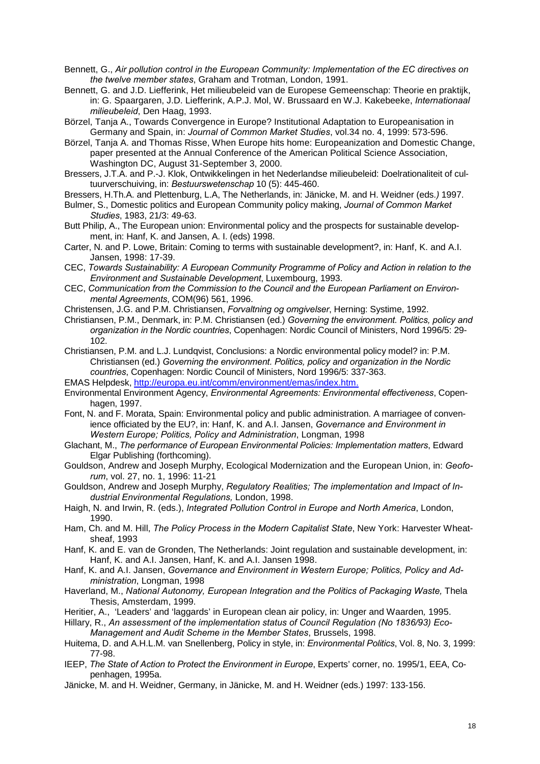Bennett, G., *Air pollution control in the European Community: Implementation of the EC directives on the twelve member states*, Graham and Trotman, London, 1991.

Bennett, G. and J.D. Liefferink, Het milieubeleid van de Europese Gemeenschap: Theorie en praktijk, in: G. Spaargaren, J.D. Liefferink, A.P.J. Mol, W. Brussaard en W.J. Kakebeeke, *Internationaal milieubeleid*, Den Haag, 1993.

Börzel, Tanja A., Towards Convergence in Europe? Institutional Adaptation to Europeanisation in Germany and Spain, in: *Journal of Common Market Studies*, vol.34 no. 4, 1999: 573-596.

Börzel, Tanja A. and Thomas Risse, When Europe hits home: Europeanization and Domestic Change, paper presented at the Annual Conference of the American Political Science Association, Washington DC, August 31-September 3, 2000.

Bressers, J.T.A. and P.-J. Klok, Ontwikkelingen in het Nederlandse milieubeleid: Doelrationaliteit of cultuurverschuiving, in: *Bestuurswetenschap* 10 (5): 445-460.

Bressers, H.Th.A. and Plettenburg, L.A, The Netherlands, in: Jänicke, M. and H. Weidner (eds*.)* 1997.

Bulmer, S., Domestic politics and European Community policy making, *Journal of Common Market Studies*, 1983, 21/3: 49-63.

Butt Philip, A., The European union: Environmental policy and the prospects for sustainable development, in: Hanf, K. and Jansen, A. I. (eds) 1998.

Carter, N. and P. Lowe, Britain: Coming to terms with sustainable development?, in: Hanf, K. and A.I. Jansen, 1998: 17-39.

CEC, *Towards Sustainability: A European Community Programme of Policy and Action in relation to the Environment and Sustainable Development*, Luxembourg, 1993.

CEC, *Communication from the Commission to the Council and the European Parliament on Environmental Agreements*, COM(96) 561, 1996.

Christensen, J.G. and P.M. Christiansen, *Forvaltning og omgivelser*, Herning: Systime, 1992.

Christiansen, P.M., Denmark, in: P.M. Christiansen (ed.) *Governing the environment. Politics, policy and organization in the Nordic countries*, Copenhagen: Nordic Council of Ministers, Nord 1996/5: 29- 102.

Christiansen, P.M. and L.J. Lundqvist, Conclusions: a Nordic environmental policy model? in: P.M. Christiansen (ed.) *Governing the environment. Politics, policy and organization in the Nordic countries*, Copenhagen: Nordic Council of Ministers, Nord 1996/5: 337-363.

EMAS Helpdesk, http://europa.eu.int/comm/environment/emas/index.htm.

Environmental Environment Agency, *Environmental Agreements: Environmental effectiveness*, Copenhagen, 1997.

Font, N. and F. Morata, Spain: Environmental policy and public administration. A marriagee of convenience officiated by the EU?, in: Hanf, K. and A.I. Jansen, *Governance and Environment in Western Europe; Politics, Policy and Administration*, Longman, 1998

Glachant, M., *The performance of European Environmental Policies: Implementation matters*, Edward Elgar Publishing (forthcoming).

Gouldson, Andrew and Joseph Murphy, Ecological Modernization and the European Union, in: *Geoforum*, vol. 27, no. 1, 1996: 11-21

Gouldson, Andrew and Joseph Murphy, *Regulatory Realities; The implementation and Impact of Industrial Environmental Regulations,* London, 1998.

Haigh, N. and Irwin, R. (eds.), *Integrated Pollution Control in Europe and North America*, London, 1990.

Ham, Ch. and M. Hill, *The Policy Process in the Modern Capitalist State*, New York: Harvester Wheatsheaf, 1993

Hanf, K. and E. van de Gronden, The Netherlands: Joint regulation and sustainable development, in: Hanf, K. and A.I. Jansen, Hanf, K. and A.I. Jansen 1998.

Hanf, K. and A.I. Jansen, *Governance and Environment in Western Europe; Politics, Policy and Administration*, Longman, 1998

Haverland, M., *National Autonomy, European Integration and the Politics of Packaging Waste*, Thela Thesis, Amsterdam, 1999.

Heritier, A., 'Leaders' and 'laggards' in European clean air policy, in: Unger and Waarden*,* 1995.

Hillary, R., *An assessment of the implementation status of Council Regulation (No 1836/93) Eco-Management and Audit Scheme in the Member States*, Brussels, 1998.

Huitema, D. and A.H.L.M. van Snellenberg, Policy in style, in: *Environmental Politics*, Vol. 8, No. 3, 1999: 77-98.

IEEP, *The State of Action to Protect the Environment in Europe*, Experts' corner, no. 1995/1, EEA, Copenhagen, 1995a.

Jänicke, M. and H. Weidner, Germany, in Jänicke, M. and H. Weidner (eds.) 1997: 133-156.